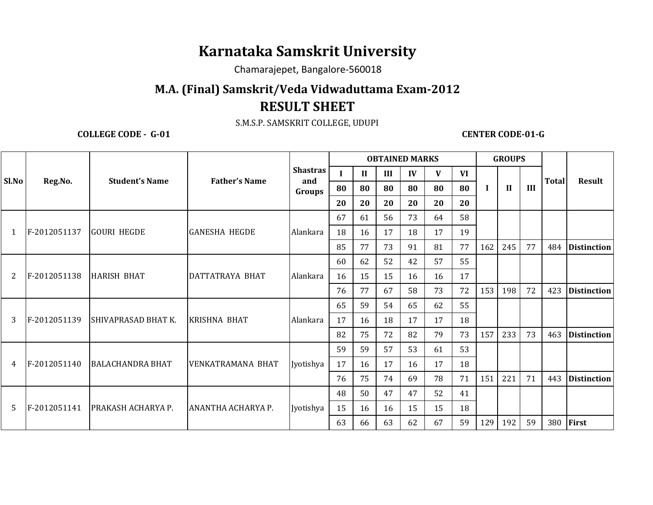## **Karnataka Samskrit University**

Chamarajepet, Bangalore-560018

## **M.A. (Final) Samskrit/Veda Vidwaduttama Exam-2012RESULT SHEET**

S.M.S.P. SAMSKRIT COLLEGE, UDUPI

**COLLEGE CODE - G-01 COLLEGE CODE-01-G** 

|       | Reg.No.      | <b>Student's Name</b>      | <b>Father's Name</b> | <b>Shastras</b><br>and<br>Groups | <b>OBTAINED MARKS</b> |              |     |    |    |    |     | <b>GROUPS</b> |     |              |                    |
|-------|--------------|----------------------------|----------------------|----------------------------------|-----------------------|--------------|-----|----|----|----|-----|---------------|-----|--------------|--------------------|
| Sl.No |              |                            |                      |                                  |                       | $\mathbf{H}$ | III | IV | V  | VI |     |               |     |              |                    |
|       |              |                            |                      |                                  | 80                    | 80           | 80  | 80 | 80 | 80 |     | $\mathbf{H}$  | III | <b>Total</b> | <b>Result</b>      |
|       |              |                            |                      |                                  | 20                    | 20           | 20  | 20 | 20 | 20 |     |               |     |              |                    |
|       |              |                            |                      |                                  | 67                    | 61           | 56  | 73 | 64 | 58 |     |               |     |              |                    |
| 1     | F-2012051137 | <b>GOURI HEGDE</b>         | <b>GANESHA HEGDE</b> | Alankara                         | 18                    | 16           | 17  | 18 | 17 | 19 |     |               |     |              |                    |
|       |              |                            |                      |                                  | 85                    | 77           | 73  | 91 | 81 | 77 | 162 | 245           | 77  | 484          | <b>Distinction</b> |
|       |              |                            |                      |                                  | 60                    | 62           | 52  | 42 | 57 | 55 |     |               |     |              |                    |
| 2     | F-2012051138 | <b>HARISH BHAT</b>         | DATTATRAYA BHAT      | Alankara                         | 16                    | 15           | 15  | 16 | 16 | 17 |     |               |     |              |                    |
|       |              |                            |                      |                                  | 76                    | 77           | 67  | 58 | 73 | 72 | 153 | 198           | 72  | 423          | <i>Distinction</i> |
|       | F-2012051139 | <b>SHIVAPRASAD BHAT K.</b> | <b>KRISHNA BHAT</b>  | Alankara                         | 65                    | 59           | 54  | 65 | 62 | 55 |     |               |     |              |                    |
| 3     |              |                            |                      |                                  | 17                    | 16           | 18  | 17 | 17 | 18 |     |               |     |              |                    |
|       |              |                            |                      |                                  | 82                    | 75           | 72  | 82 | 79 | 73 | 157 | 233           | 73  | 463          | <b>Distinction</b> |
|       | F-2012051140 | <b>BALACHANDRA BHAT</b>    | VENKATRAMANA BHAT    | Jyotishya                        | 59                    | 59           | 57  | 53 | 61 | 53 |     |               |     |              |                    |
| 4     |              |                            |                      |                                  | 17                    | 16           | 17  | 16 | 17 | 18 |     |               |     |              |                    |
|       |              |                            |                      |                                  | 76                    | 75           | 74  | 69 | 78 | 71 | 151 | 221           | 71  | 443          | <i>Distinction</i> |
|       |              |                            |                      |                                  | 48                    | 50           | 47  | 47 | 52 | 41 |     |               |     |              |                    |
| 5     | F-2012051141 | PRAKASH ACHARYA P.         | ANANTHA ACHARYA P.   | Jyotishya                        | 15                    | 16           | 16  | 15 | 15 | 18 |     |               |     |              |                    |
|       |              |                            |                      |                                  | 63                    | 66           | 63  | 62 | 67 | 59 | 129 | 192           | 59  | 380          | First              |